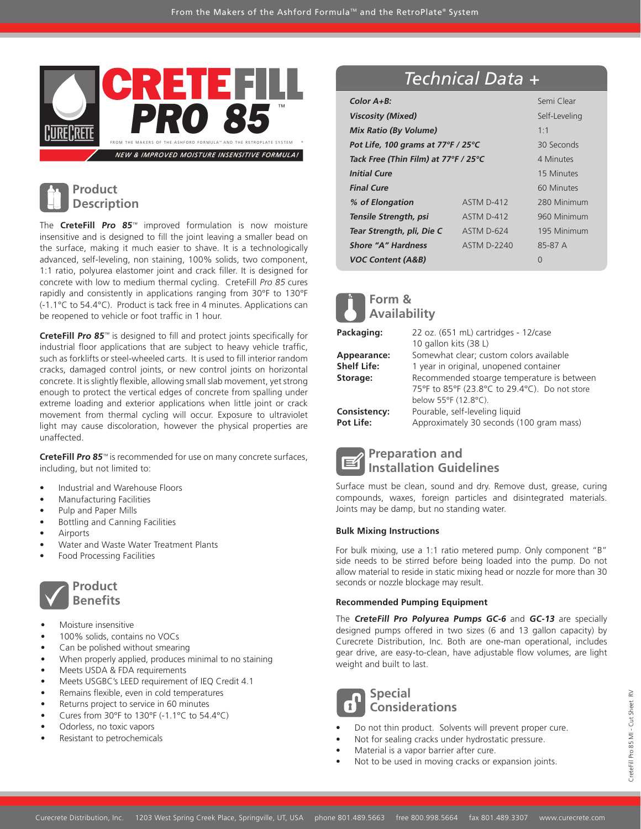

## **Product Description**

The **CreteFill Pro 85**™ improved formulation is now moisture insensitive and is designed to fill the joint leaving a smaller bead on the surface, making it much easier to shave. It is a technologically advanced, self-leveling, non staining, 100% solids, two component, 1:1 ratio, polyurea elastomer joint and crack filler. It is designed for concrete with low to medium thermal cycling. CreteFill Pro 85 cures rapidly and consistently in applications ranging from 30°F to 130°F (-1.1°C to 54.4°C). Product is tack free in 4 minutes. Applications can be reopened to vehicle or foot traffic in 1 hour.

**CreteFill Pro 85<sup>™</sup>** is designed to fill and protect joints specifically for industrial floor applications that are subject to heavy vehicle traffic, such as forklifts or steel-wheeled carts. It is used to fill interior random cracks, damaged control joints, or new control joints on horizontal concrete. It is slightly flexible, allowing small slab movement, yet strong enough to protect the vertical edges of concrete from spalling under extreme loading and exterior applications when little joint or crack movement from thermal cycling will occur. Exposure to ultraviolet light may cause discoloration, however the physical properties are unaffected.

**CreteFill Pro 85**™ is recommended for use on many concrete surfaces, including, but not limited to:

- Industrial and Warehouse Floors
- Manufacturing Facilities
- Pulp and Paper Mills
- Bottling and Canning Facilities
- **Airports**
- Water and Waste Water Treatment Plants
- Food Processing Facilities



- Moisture insensitive
- 100% solids, contains no VOCs
- Can be polished without smearing
- When properly applied, produces minimal to no staining
- Meets USDA & FDA requirements
- Meets USGBC's LEED requirement of IEQ Credit 4.1
- Remains flexible, even in cold temperatures
- Returns project to service in 60 minutes
- Cures from 30°F to 130°F (-1.1°C to 54.4°C)
- Odorless, no toxic vapors
- Resistant to petrochemicals

# *Technical Data +*

| $Color A+B:$                         | Semi Clear    |             |
|--------------------------------------|---------------|-------------|
| <b>Viscosity (Mixed)</b>             | Self-Leveling |             |
| <b>Mix Ratio (By Volume)</b>         | 1:1           |             |
| Pot Life, 100 grams at 77°F / 25°C   | 30 Seconds    |             |
| Tack Free (Thin Film) at 77°F / 25°C | 4 Minutes     |             |
| <b>Initial Cure</b>                  |               | 15 Minutes  |
| <b>Final Cure</b>                    |               | 60 Minutes  |
| % of Elongation                      | ASTM D-412    | 280 Minimum |
| Tensile Strength, psi                | ASTM D-412    | 960 Minimum |
| Tear Strength, pli, Die C            | ASTM D-624    | 195 Minimum |
| <b>Shore "A" Hardness</b>            | ASTM D-2240   | 85-87 A     |
| <b>VOC Content (A&amp;B)</b>         |               | U           |

# **Form & Availability**

| Packaging:         | 22 oz. (651 mL) cartridges - 12/case          |  |  |
|--------------------|-----------------------------------------------|--|--|
|                    | 10 gallon kits (38 L)                         |  |  |
| Appearance:        | Somewhat clear; custom colors available       |  |  |
| <b>Shelf Life:</b> | 1 year in original, unopened container        |  |  |
| Storage:           | Recommended stoarge temperature is between    |  |  |
|                    | 75°F to 85°F (23.8°C to 29.4°C). Do not store |  |  |
|                    | below 55°F (12.8°C).                          |  |  |
| Consistency:       | Pourable, self-leveling liquid                |  |  |
| <b>Pot Life:</b>   | Approximately 30 seconds (100 gram mass)      |  |  |
|                    |                                               |  |  |



**Preparation and Installation Guidelines**

Surface must be clean, sound and dry. Remove dust, grease, curing compounds, waxes, foreign particles and disintegrated materials. Joints may be damp, but no standing water.

#### **Bulk Mixing Instructions**

For bulk mixing, use a 1:1 ratio metered pump. Only component "B" side needs to be stirred before being loaded into the pump. Do not allow material to reside in static mixing head or nozzle for more than 30 seconds or nozzle blockage may result.

#### **Recommended Pumping Equipment**

The **CreteFill Pro Polyurea Pumps GC-6** and **GC-13** are specially designed pumps offered in two sizes (6 and 13 gallon capacity) by Curecrete Distribution, Inc. Both are one-man operational, includes gear drive, are easy-to-clean, have adjustable flow volumes, are light weight and built to last.



### **Special Considerations**

- Do not thin product. Solvents will prevent proper cure.
- Not for sealing cracks under hydrostatic pressure.
- Material is a vapor barrier after cure.
- Not to be used in moving cracks or expansion joints.